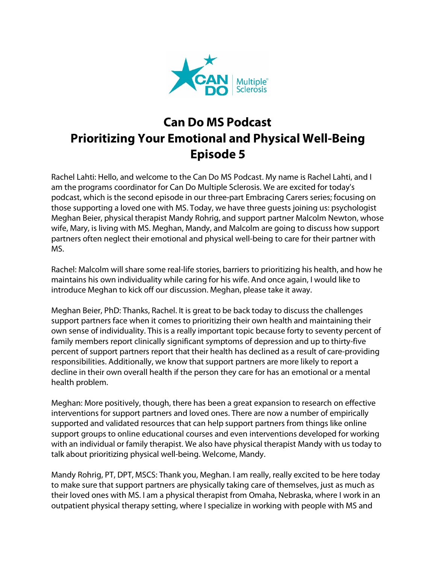

## **Can Do MS Podcast Prioritizing Your Emotional and Physical Well-Being Episode 5**

Rachel Lahti: Hello, and welcome to the Can Do MS Podcast. My name is Rachel Lahti, and I am the programs coordinator for Can Do Multiple Sclerosis. We are excited for today's podcast, which is the second episode in our three-part Embracing Carers series; focusing on those supporting a loved one with MS. Today, we have three guests joining us: psychologist Meghan Beier, physical therapist Mandy Rohrig, and support partner Malcolm Newton, whose wife, Mary, is living with MS. Meghan, Mandy, and Malcolm are going to discuss how support partners often neglect their emotional and physical well-being to care for their partner with MS.

Rachel: Malcolm will share some real-life stories, barriers to prioritizing his health, and how he maintains his own individuality while caring for his wife. And once again, I would like to introduce Meghan to kick off our discussion. Meghan, please take it away.

Meghan Beier, PhD: Thanks, Rachel. It is great to be back today to discuss the challenges support partners face when it comes to prioritizing their own health and maintaining their own sense of individuality. This is a really important topic because forty to seventy percent of family members report clinically significant symptoms of depression and up to thirty-five percent of support partners report that their health has declined as a result of care-providing responsibilities. Additionally, we know that support partners are more likely to report a decline in their own overall health if the person they care for has an emotional or a mental health problem.

Meghan: More positively, though, there has been a great expansion to research on effective interventions for support partners and loved ones. There are now a number of empirically supported and validated resources that can help support partners from things like online support groups to online educational courses and even interventions developed for working with an individual or family therapist. We also have physical therapist Mandy with us today to talk about prioritizing physical well-being. Welcome, Mandy.

Mandy Rohrig, PT, DPT, MSCS: Thank you, Meghan. I am really, really excited to be here today to make sure that support partners are physically taking care of themselves, just as much as their loved ones with MS. I am a physical therapist from Omaha, Nebraska, where I work in an outpatient physical therapy setting, where I specialize in working with people with MS and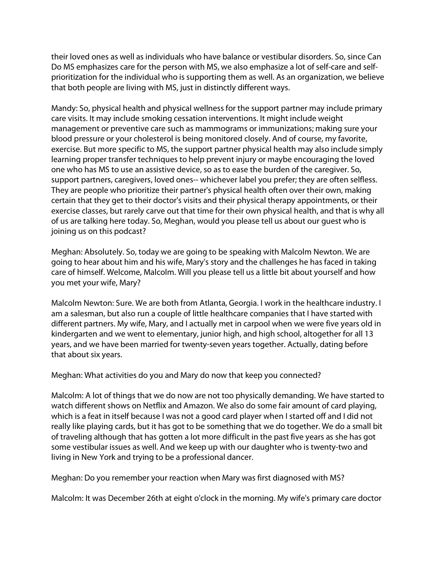their loved ones as well as individuals who have balance or vestibular disorders. So, since Can Do MS emphasizes care for the person with MS, we also emphasize a lot of self-care and selfprioritization for the individual who is supporting them as well. As an organization, we believe that both people are living with MS, just in distinctly different ways.

Mandy: So, physical health and physical wellness for the support partner may include primary care visits. It may include smoking cessation interventions. It might include weight management or preventive care such as mammograms or immunizations; making sure your blood pressure or your cholesterol is being monitored closely. And of course, my favorite, exercise. But more specific to MS, the support partner physical health may also include simply learning proper transfer techniques to help prevent injury or maybe encouraging the loved one who has MS to use an assistive device, so as to ease the burden of the caregiver. So, support partners, caregivers, loved ones-- whichever label you prefer; they are often selfless. They are people who prioritize their partner's physical health often over their own, making certain that they get to their doctor's visits and their physical therapy appointments, or their exercise classes, but rarely carve out that time for their own physical health, and that is why all of us are talking here today. So, Meghan, would you please tell us about our guest who is joining us on this podcast?

Meghan: Absolutely. So, today we are going to be speaking with Malcolm Newton. We are going to hear about him and his wife, Mary's story and the challenges he has faced in taking care of himself. Welcome, Malcolm. Will you please tell us a little bit about yourself and how you met your wife, Mary?

Malcolm Newton: Sure. We are both from Atlanta, Georgia. I work in the healthcare industry. I am a salesman, but also run a couple of little healthcare companies that I have started with different partners. My wife, Mary, and I actually met in carpool when we were five years old in kindergarten and we went to elementary, junior high, and high school, altogether for all 13 years, and we have been married for twenty-seven years together. Actually, dating before that about six years.

Meghan: What activities do you and Mary do now that keep you connected?

Malcolm: A lot of things that we do now are not too physically demanding. We have started to watch different shows on Netflix and Amazon. We also do some fair amount of card playing, which is a feat in itself because I was not a good card player when I started off and I did not really like playing cards, but it has got to be something that we do together. We do a small bit of traveling although that has gotten a lot more difficult in the past five years as she has got some vestibular issues as well. And we keep up with our daughter who is twenty-two and living in New York and trying to be a professional dancer.

Meghan: Do you remember your reaction when Mary was first diagnosed with MS?

Malcolm: It was December 26th at eight o'clock in the morning. My wife's primary care doctor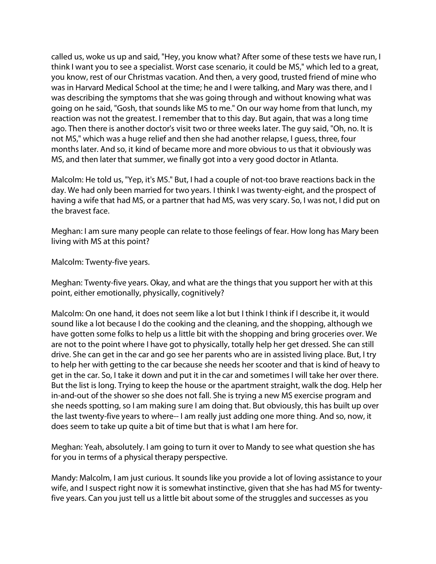called us, woke us up and said, "Hey, you know what? After some of these tests we have run, I think I want you to see a specialist. Worst case scenario, it could be MS," which led to a great, you know, rest of our Christmas vacation. And then, a very good, trusted friend of mine who was in Harvard Medical School at the time; he and I were talking, and Mary was there, and I was describing the symptoms that she was going through and without knowing what was going on he said, "Gosh, that sounds like MS to me." On our way home from that lunch, my reaction was not the greatest. I remember that to this day. But again, that was a long time ago. Then there is another doctor's visit two or three weeks later. The guy said, "Oh, no. It is not MS," which was a huge relief and then she had another relapse, I guess, three, four months later. And so, it kind of became more and more obvious to us that it obviously was MS, and then later that summer, we finally got into a very good doctor in Atlanta.

Malcolm: He told us, "Yep, it's MS." But, I had a couple of not-too brave reactions back in the day. We had only been married for two years. I think I was twenty-eight, and the prospect of having a wife that had MS, or a partner that had MS, was very scary. So, I was not, I did put on the bravest face.

Meghan: I am sure many people can relate to those feelings of fear. How long has Mary been living with MS at this point?

Malcolm: Twenty-five years.

Meghan: Twenty-five years. Okay, and what are the things that you support her with at this point, either emotionally, physically, cognitively?

Malcolm: On one hand, it does not seem like a lot but I think I think if I describe it, it would sound like a lot because I do the cooking and the cleaning, and the shopping, although we have gotten some folks to help us a little bit with the shopping and bring groceries over. We are not to the point where I have got to physically, totally help her get dressed. She can still drive. She can get in the car and go see her parents who are in assisted living place. But, I try to help her with getting to the car because she needs her scooter and that is kind of heavy to get in the car. So, I take it down and put it in the car and sometimes I will take her over there. But the list is long. Trying to keep the house or the apartment straight, walk the dog. Help her in-and-out of the shower so she does not fall. She is trying a new MS exercise program and she needs spotting, so I am making sure I am doing that. But obviously, this has built up over the last twenty-five years to where-- I am really just adding one more thing. And so, now, it does seem to take up quite a bit of time but that is what I am here for.

Meghan: Yeah, absolutely. I am going to turn it over to Mandy to see what question she has for you in terms of a physical therapy perspective.

Mandy: Malcolm, I am just curious. It sounds like you provide a lot of loving assistance to your wife, and I suspect right now it is somewhat instinctive, given that she has had MS for twentyfive years. Can you just tell us a little bit about some of the struggles and successes as you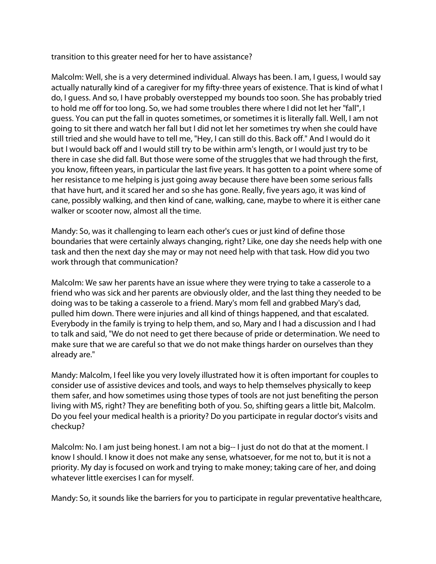transition to this greater need for her to have assistance?

Malcolm: Well, she is a very determined individual. Always has been. I am, I guess, I would say actually naturally kind of a caregiver for my fifty-three years of existence. That is kind of what I do, I guess. And so, I have probably overstepped my bounds too soon. She has probably tried to hold me off for too long. So, we had some troubles there where I did not let her "fall", I guess. You can put the fall in quotes sometimes, or sometimes it is literally fall. Well, I am not going to sit there and watch her fall but I did not let her sometimes try when she could have still tried and she would have to tell me, "Hey, I can still do this. Back off." And I would do it but I would back off and I would still try to be within arm's length, or I would just try to be there in case she did fall. But those were some of the struggles that we had through the first, you know, fifteen years, in particular the last five years. It has gotten to a point where some of her resistance to me helping is just going away because there have been some serious falls that have hurt, and it scared her and so she has gone. Really, five years ago, it was kind of cane, possibly walking, and then kind of cane, walking, cane, maybe to where it is either cane walker or scooter now, almost all the time.

Mandy: So, was it challenging to learn each other's cues or just kind of define those boundaries that were certainly always changing, right? Like, one day she needs help with one task and then the next day she may or may not need help with that task. How did you two work through that communication?

Malcolm: We saw her parents have an issue where they were trying to take a casserole to a friend who was sick and her parents are obviously older, and the last thing they needed to be doing was to be taking a casserole to a friend. Mary's mom fell and grabbed Mary's dad, pulled him down. There were injuries and all kind of things happened, and that escalated. Everybody in the family is trying to help them, and so, Mary and I had a discussion and I had to talk and said, "We do not need to get there because of pride or determination. We need to make sure that we are careful so that we do not make things harder on ourselves than they already are."

Mandy: Malcolm, I feel like you very lovely illustrated how it is often important for couples to consider use of assistive devices and tools, and ways to help themselves physically to keep them safer, and how sometimes using those types of tools are not just benefiting the person living with MS, right? They are benefiting both of you. So, shifting gears a little bit, Malcolm. Do you feel your medical health is a priority? Do you participate in regular doctor's visits and checkup?

Malcolm: No. I am just being honest. I am not a big--I just do not do that at the moment. I know I should. I know it does not make any sense, whatsoever, for me not to, but it is not a priority. My day is focused on work and trying to make money; taking care of her, and doing whatever little exercises I can for myself.

Mandy: So, it sounds like the barriers for you to participate in regular preventative healthcare,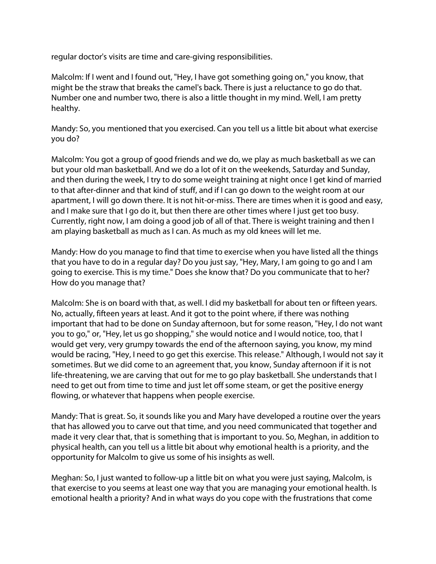regular doctor's visits are time and care-giving responsibilities.

Malcolm: If I went and I found out, "Hey, I have got something going on," you know, that might be the straw that breaks the camel's back. There is just a reluctance to go do that. Number one and number two, there is also a little thought in my mind. Well, I am pretty healthy.

Mandy: So, you mentioned that you exercised. Can you tell us a little bit about what exercise you do?

Malcolm: You got a group of good friends and we do, we play as much basketball as we can but your old man basketball. And we do a lot of it on the weekends, Saturday and Sunday, and then during the week, I try to do some weight training at night once I get kind of married to that after-dinner and that kind of stuff, and if I can go down to the weight room at our apartment, I will go down there. It is not hit-or-miss. There are times when it is good and easy, and I make sure that I go do it, but then there are other times where I just get too busy. Currently, right now, I am doing a good job of all of that. There is weight training and then I am playing basketball as much as I can. As much as my old knees will let me.

Mandy: How do you manage to find that time to exercise when you have listed all the things that you have to do in a regular day? Do you just say, "Hey, Mary, I am going to go and I am going to exercise. This is my time." Does she know that? Do you communicate that to her? How do you manage that?

Malcolm: She is on board with that, as well. I did my basketball for about ten or fifteen years. No, actually, fifteen years at least. And it got to the point where, if there was nothing important that had to be done on Sunday afternoon, but for some reason, "Hey, I do not want you to go," or, "Hey, let us go shopping," she would notice and I would notice, too, that I would get very, very grumpy towards the end of the afternoon saying, you know, my mind would be racing, "Hey, I need to go get this exercise. This release." Although, I would not say it sometimes. But we did come to an agreement that, you know, Sunday afternoon if it is not life-threatening, we are carving that out for me to go play basketball. She understands that I need to get out from time to time and just let off some steam, or get the positive energy flowing, or whatever that happens when people exercise.

Mandy: That is great. So, it sounds like you and Mary have developed a routine over the years that has allowed you to carve out that time, and you need communicated that together and made it very clear that, that is something that is important to you. So, Meghan, in addition to physical health, can you tell us a little bit about why emotional health is a priority, and the opportunity for Malcolm to give us some of his insights as well.

Meghan: So, I just wanted to follow-up a little bit on what you were just saying, Malcolm, is that exercise to you seems at least one way that you are managing your emotional health. Is emotional health a priority? And in what ways do you cope with the frustrations that come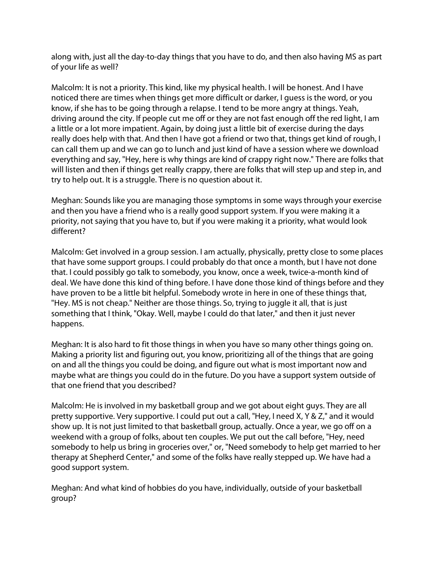along with, just all the day-to-day things that you have to do, and then also having MS as part of your life as well?

Malcolm: It is not a priority. This kind, like my physical health. I will be honest. And I have noticed there are times when things get more difficult or darker, I guess is the word, or you know, if she has to be going through a relapse. I tend to be more angry at things. Yeah, driving around the city. If people cut me off or they are not fast enough off the red light, I am a little or a lot more impatient. Again, by doing just a little bit of exercise during the days really does help with that. And then I have got a friend or two that, things get kind of rough, I can call them up and we can go to lunch and just kind of have a session where we download everything and say, "Hey, here is why things are kind of crappy right now." There are folks that will listen and then if things get really crappy, there are folks that will step up and step in, and try to help out. It is a struggle. There is no question about it.

Meghan: Sounds like you are managing those symptoms in some ways through your exercise and then you have a friend who is a really good support system. If you were making it a priority, not saying that you have to, but if you were making it a priority, what would look different?

Malcolm: Get involved in a group session. I am actually, physically, pretty close to some places that have some support groups. I could probably do that once a month, but I have not done that. I could possibly go talk to somebody, you know, once a week, twice-a-month kind of deal. We have done this kind of thing before. I have done those kind of things before and they have proven to be a little bit helpful. Somebody wrote in here in one of these things that, "Hey. MS is not cheap." Neither are those things. So, trying to juggle it all, that is just something that I think, "Okay. Well, maybe I could do that later," and then it just never happens.

Meghan: It is also hard to fit those things in when you have so many other things going on. Making a priority list and figuring out, you know, prioritizing all of the things that are going on and all the things you could be doing, and figure out what is most important now and maybe what are things you could do in the future. Do you have a support system outside of that one friend that you described?

Malcolm: He is involved in my basketball group and we got about eight guys. They are all pretty supportive. Very supportive. I could put out a call, "Hey, I need X, Y & Z," and it would show up. It is not just limited to that basketball group, actually. Once a year, we go off on a weekend with a group of folks, about ten couples. We put out the call before, "Hey, need somebody to help us bring in groceries over," or, "Need somebody to help get married to her therapy at Shepherd Center," and some of the folks have really stepped up. We have had a good support system.

Meghan: And what kind of hobbies do you have, individually, outside of your basketball group?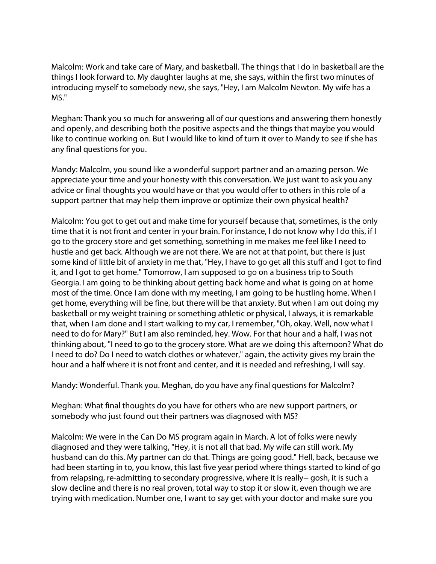Malcolm: Work and take care of Mary, and basketball. The things that I do in basketball are the things I look forward to. My daughter laughs at me, she says, within the first two minutes of introducing myself to somebody new, she says, "Hey, I am Malcolm Newton. My wife has a MS."

Meghan: Thank you so much for answering all of our questions and answering them honestly and openly, and describing both the positive aspects and the things that maybe you would like to continue working on. But I would like to kind of turn it over to Mandy to see if she has any final questions for you.

Mandy: Malcolm, you sound like a wonderful support partner and an amazing person. We appreciate your time and your honesty with this conversation. We just want to ask you any advice or final thoughts you would have or that you would offer to others in this role of a support partner that may help them improve or optimize their own physical health?

Malcolm: You got to get out and make time for yourself because that, sometimes, is the only time that it is not front and center in your brain. For instance, I do not know why I do this, if I go to the grocery store and get something, something in me makes me feel like I need to hustle and get back. Although we are not there. We are not at that point, but there is just some kind of little bit of anxiety in me that, "Hey, I have to go get all this stuff and I got to find it, and I got to get home." Tomorrow, I am supposed to go on a business trip to South Georgia. I am going to be thinking about getting back home and what is going on at home most of the time. Once I am done with my meeting, I am going to be hustling home. When I get home, everything will be fine, but there will be that anxiety. But when I am out doing my basketball or my weight training or something athletic or physical, I always, it is remarkable that, when I am done and I start walking to my car, I remember, "Oh, okay. Well, now what I need to do for Mary?" But I am also reminded, hey. Wow. For that hour and a half, I was not thinking about, "I need to go to the grocery store. What are we doing this afternoon? What do I need to do? Do I need to watch clothes or whatever," again, the activity gives my brain the hour and a half where it is not front and center, and it is needed and refreshing, I will say.

Mandy: Wonderful. Thank you. Meghan, do you have any final questions for Malcolm?

Meghan: What final thoughts do you have for others who are new support partners, or somebody who just found out their partners was diagnosed with MS?

Malcolm: We were in the Can Do MS program again in March. A lot of folks were newly diagnosed and they were talking, "Hey, it is not all that bad. My wife can still work. My husband can do this. My partner can do that. Things are going good." Hell, back, because we had been starting in to, you know, this last five year period where things started to kind of go from relapsing, re-admitting to secondary progressive, where it is really-- gosh, it is such a slow decline and there is no real proven, total way to stop it or slow it, even though we are trying with medication. Number one, I want to say get with your doctor and make sure you